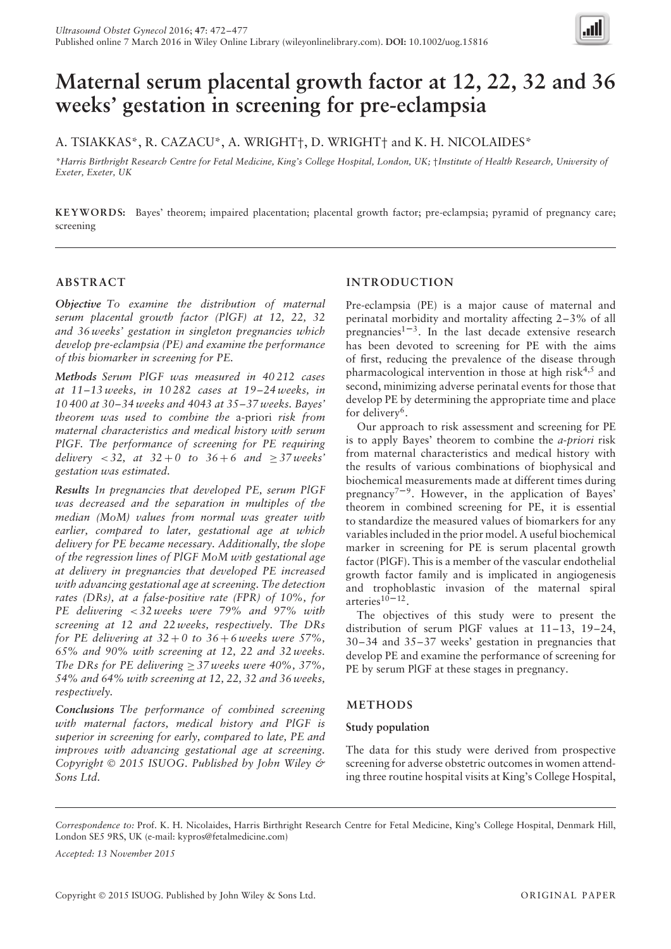

# **Maternal serum placental growth factor at 12, 22, 32 and 36 weeks' gestation in screening for pre-eclampsia**

A. TSIAKKAS\*, R. CAZACU\*, A. WRIGHT†, D. WRIGHT† and K. H. NICOLAIDES\*

*\*Harris Birthright Research Centre for Fetal Medicine, King's College Hospital, London, UK;* †*Institute of Health Research, University of Exeter, Exeter, UK*

**KEYWORDS:** Bayes' theorem; impaired placentation; placental growth factor; pre-eclampsia; pyramid of pregnancy care; screening

## **ABSTRACT**

*Objective To examine the distribution of maternal serum placental growth factor (PlGF) at 12, 22, 32 and 36 weeks' gestation in singleton pregnancies which develop pre-eclampsia (PE) and examine the performance of this biomarker in screening for PE.*

*Methods Serum PlGF was measured in 40 212 cases at 11–13 weeks, in 10 282 cases at 19–24 weeks, in 10 400 at 30–34 weeks and 4043 at 35–37 weeks. Bayes' theorem was used to combine the* a-priori *risk from maternal characteristics and medical history with serum PlGF. The performance of screening for PE requiring delivery* < 32, *at*  $32 + 0$  *to*  $36 + 6$  *and*  $\geq 37$  *weeks' gestation was estimated.*

*Results In pregnancies that developed PE, serum PlGF was decreased and the separation in multiples of the median (MoM) values from normal was greater with earlier, compared to later, gestational age at which delivery for PE became necessary. Additionally, the slope of the regression lines of PlGF MoM with gestational age at delivery in pregnancies that developed PE increased with advancing gestational age at screening. The detection rates (DRs), at a false-positive rate (FPR) of 10%, for PE delivering < 32 weeks were 79% and 97% with screening at 12 and 22 weeks, respectively. The DRs for PE delivering at*  $32+0$  to  $36+6$  *weeks were*  $57\%$ *, 65% and 90% with screening at 12, 22 and 32 weeks. The DRs for PE delivering*  $\geq$  37 weeks were 40%, 37%, *54% and 64% with screening at 12, 22, 32 and 36 weeks, respectively.*

*Conclusions The performance of combined screening with maternal factors, medical history and PlGF is superior in screening for early, compared to late, PE and improves with advancing gestational age at screening. Copyright* © *2015 ISUOG. Published by John Wiley & Sons Ltd.*

# **INTRODUCTION**

Pre-eclampsia (PE) is a major cause of maternal and perinatal morbidity and mortality affecting 2–3% of all pregnancies<sup>1–3</sup>. In the last decade extensive research has been devoted to screening for PE with the aims of first, reducing the prevalence of the disease through pharmacological intervention in those at high risk<sup>4,5</sup> and second, minimizing adverse perinatal events for those that develop PE by determining the appropriate time and place for delivery<sup>6</sup>.

Our approach to risk assessment and screening for PE is to apply Bayes' theorem to combine the *a-priori* risk from maternal characteristics and medical history with the results of various combinations of biophysical and biochemical measurements made at different times during pregnancy<sup>7-9</sup>. However, in the application of Bayes' theorem in combined screening for PE, it is essential to standardize the measured values of biomarkers for any variables included in the prior model. A useful biochemical marker in screening for PE is serum placental growth factor (PlGF). This is a member of the vascular endothelial growth factor family and is implicated in angiogenesis and trophoblastic invasion of the maternal spiral arteries $10-12$ .

The objectives of this study were to present the distribution of serum PlGF values at 11–13, 19–24, 30–34 and 35–37 weeks' gestation in pregnancies that develop PE and examine the performance of screening for PE by serum PlGF at these stages in pregnancy.

## **METHODS**

## **Study population**

The data for this study were derived from prospective screening for adverse obstetric outcomes in women attending three routine hospital visits at King's College Hospital,

*Correspondence to:* Prof. K. H. Nicolaides, Harris Birthright Research Centre for Fetal Medicine, King's College Hospital, Denmark Hill, London SE5 9RS, UK (e-mail: kypros@fetalmedicine.com)

*Accepted: 13 November 2015*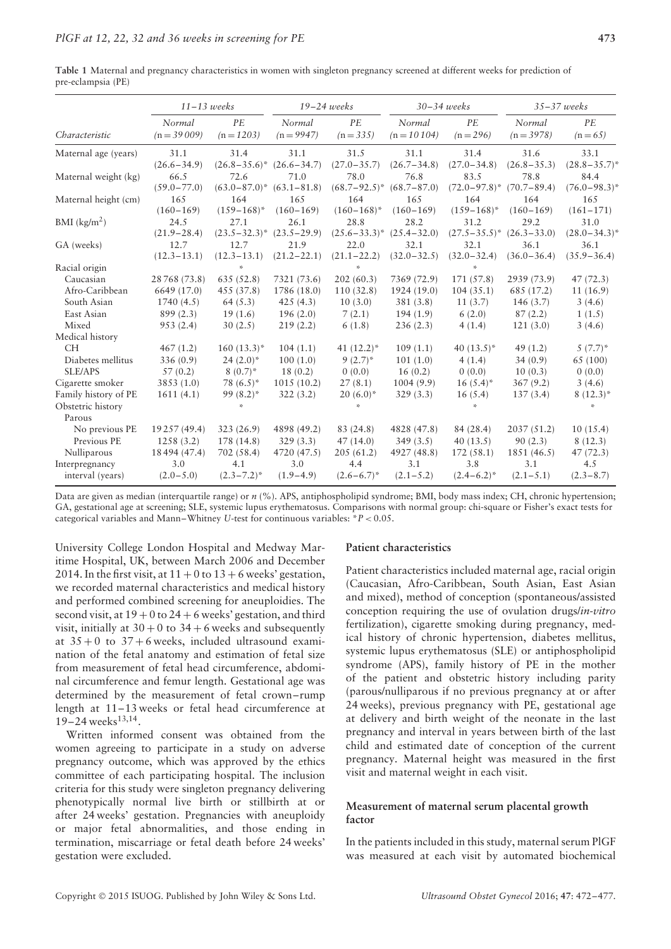|                            | $11-13$ weeks   |                   | $19-24$ weeks   |                   | $30 - 34$ weeks |                   | $35 - 37$ weeks |                   |
|----------------------------|-----------------|-------------------|-----------------|-------------------|-----------------|-------------------|-----------------|-------------------|
|                            | Normal          | PE                | Normal          | PE                | Normal          | PE                | Normal          | PE                |
| Characteristic             | $(n = 39009)$   | $(n = 1203)$      | $(n = 9947)$    | $(n = 335)$       | $(n = 10104)$   | $(n = 296)$       | $(n = 3978)$    | $(n=65)$          |
| Maternal age (years)       | 31.1            | 31.4              | 31.1            | 31.5              | 31.1            | 31.4              | 31.6            | 33.1              |
|                            | $(26.6 - 34.9)$ | $(26.8 - 35.6)^*$ | $(26.6 - 34.7)$ | $(27.0 - 35.7)$   | $(26.7 - 34.8)$ | $(27.0 - 34.8)$   | $(26.8 - 35.3)$ | $(28.8 - 35.7)^*$ |
| Maternal weight (kg)       | 66.5            | 72.6              | 71.0            | 78.0              | 76.8            | 83.5              | 78.8            | 84.4              |
|                            | $(59.0 - 77.0)$ | $(63.0 - 87.0)^*$ | $(63.1 - 81.8)$ | $(68.7 - 92.5)^*$ | $(68.7 - 87.0)$ | $(72.0 - 97.8)^*$ | $(70.7 - 89.4)$ | $(76.0 - 98.3)^*$ |
| Maternal height (cm)       | 165             | 164               | 165             | 164               | 165             | 164               | 164             | 165               |
|                            | $(160 - 169)$   | $(159 - 168)^*$   | $(160 - 169)$   | $(160 - 168)^*$   | $(160 - 169)$   | $(159 - 168)^*$   | $(160 - 169)$   | $(161 - 171)$     |
| $BMI$ (kg/m <sup>2</sup> ) | 24.5            | 27.1              | 26.1            | 28.8              | 28.2            | 31.2              | 29.2            | 31.0              |
|                            | $(21.9 - 28.4)$ | $(23.5 - 32.3)^*$ | $(23.5 - 29.9)$ | $(25.6 - 33.3)^*$ | $(25.4 - 32.0)$ | $(27.5 - 35.5)^*$ | $(26.3 - 33.0)$ | $(28.0 - 34.3)^*$ |
| GA (weeks)                 | 12.7            | 12.7              | 21.9            | 22.0              | 32.1            | 32.1              | 36.1            | 36.1              |
|                            | $(12.3 - 13.1)$ | $(12.3 - 13.1)$   | $(21.2 - 22.1)$ | $(21.1 - 22.2)$   | $(32.0 - 32.5)$ | $(32.0 - 32.4)$   | $(36.0 - 36.4)$ | $(35.9 - 36.4)$   |
| Racial origin              |                 | ×,                |                 | $\mathcal{L}$     |                 | $\mathbf{M}$      |                 |                   |
| Caucasian                  | 28768 (73.8)    | 635 (52.8)        | 7321 (73.6)     | 202(60.3)         | 7369 (72.9)     | 171(57.8)         | 2939 (73.9)     | 47(72.3)          |
| Afro-Caribbean             | 6649 (17.0)     | 455 (37.8)        | 1786 (18.0)     | 110(32.8)         | 1924 (19.0)     | 104(35.1)         | 685 (17.2)      | 11(16.9)          |
| South Asian                | 1740(4.5)       | 64(5.3)           | 425(4.3)        | 10(3.0)           | 381(3.8)        | 11(3.7)           | 146(3.7)        | 3(4.6)            |
| East Asian                 | 899(2.3)        | 19(1.6)           | 196(2.0)        | 7(2.1)            | 194(1.9)        | 6(2.0)            | 87(2.2)         | 1(1.5)            |
| Mixed                      | 953(2.4)        | 30(2.5)           | 219(2.2)        | 6(1.8)            | 236(2.3)        | 4(1.4)            | 121(3.0)        | 3(4.6)            |
| Medical history            |                 |                   |                 |                   |                 |                   |                 |                   |
| <b>CH</b>                  | 467(1.2)        | $160(13.3)^*$     | 104(1.1)        | 41 $(12.2)^*$     | 109(1.1)        | 40 $(13.5)^*$     | 49(1.2)         | $5(7.7)^*$        |
| Diabetes mellitus          | 336(0.9)        | $24(2.0)^*$       | 100(1.0)        | $9(2.7)^*$        | 101(1.0)        | 4(1.4)            | 34(0.9)         | 65 (100)          |
| SLE/APS                    | 57(0.2)         | $8(0.7)^*$        | 18(0.2)         | 0(0.0)            | 16(0.2)         | 0(0.0)            | 10(0.3)         | 0(0.0)            |
| Cigarette smoker           | 3853 (1.0)      | $78(6.5)^*$       | 1015(10.2)      | 27(8.1)           | 1004(9.9)       | $16(5.4)^*$       | 367(9.2)        | 3(4.6)            |
| Family history of PE       | 1611(4.1)       | $99(8.2)$ *       | 322(3.2)        | $20(6.0)^*$       | 329(3.3)        | 16(5.4)           | 137(3.4)        | $8(12.3)^*$       |
| Obstetric history          |                 | ×.                |                 | $\mathbf{M}$      |                 |                   |                 | ×.                |
| Parous                     |                 |                   |                 |                   |                 |                   |                 |                   |
| No previous PE             | 19257 (49.4)    | 323(26.9)         | 4898 (49.2)     | 83 (24.8)         | 4828 (47.8)     | 84 (28.4)         | 2037(51.2)      | 10(15.4)          |
| Previous PE                | 1258(3.2)       | 178 (14.8)        | 329(3.3)        | 47(14.0)          | 349(3.5)        | 40(13.5)          | 90(2.3)         | 8(12.3)           |
| Nulliparous                | 18494 (47.4)    | 702 (58.4)        | 4720 (47.5)     | 205(61.2)         | 4927 (48.8)     | 172(58.1)         | 1851 (46.5)     | 47(72.3)          |
| Interpregnancy             | 3.0             | 4.1               | 3.0             | 4.4               | 3.1             | 3.8               | 3.1             | 4.5               |
| interval (years)           | $(2.0 - 5.0)$   | $(2.3 - 7.2)^*$   | $(1.9 - 4.9)$   | $(2.6 - 6.7)^*$   | $(2.1 - 5.2)$   | $(2.4-6.2)^*$     | $(2.1 - 5.1)$   | $(2.3 - 8.7)$     |

**Table 1** Maternal and pregnancy characteristics in women with singleton pregnancy screened at different weeks for prediction of pre-eclampsia (PE)

Data are given as median (interquartile range) or  $n$  (%). APS, antiphospholipid syndrome; BMI, body mass index; CH, chronic hypertension; GA, gestational age at screening; SLE, systemic lupus erythematosus. Comparisons with normal group: chi-square or Fisher's exact tests for categorical variables and Mann–Whitney *U*-test for continuous variables: \**P <* 0.05.

University College London Hospital and Medway Maritime Hospital, UK, between March 2006 and December 2014. In the first visit, at  $11 + 0$  to  $13 + 6$  weeks' gestation, we recorded maternal characteristics and medical history and performed combined screening for aneuploidies. The second visit, at  $19 + 0$  to  $24 + 6$  weeks' gestation, and third visit, initially at  $30 + 0$  to  $34 + 6$  weeks and subsequently at  $35 + 0$  to  $37 + 6$  weeks, included ultrasound examination of the fetal anatomy and estimation of fetal size from measurement of fetal head circumference, abdominal circumference and femur length. Gestational age was determined by the measurement of fetal crown–rump length at 11–13 weeks or fetal head circumference at  $19-24$  weeks<sup>13,14</sup>.

Written informed consent was obtained from the women agreeing to participate in a study on adverse pregnancy outcome, which was approved by the ethics committee of each participating hospital. The inclusion criteria for this study were singleton pregnancy delivering phenotypically normal live birth or stillbirth at or after 24 weeks' gestation. Pregnancies with aneuploidy or major fetal abnormalities, and those ending in termination, miscarriage or fetal death before 24 weeks' gestation were excluded.

## **Patient characteristics**

Patient characteristics included maternal age, racial origin (Caucasian, Afro-Caribbean, South Asian, East Asian and mixed), method of conception (spontaneous/assisted conception requiring the use of ovulation drugs/*in-vitro* fertilization), cigarette smoking during pregnancy, medical history of chronic hypertension, diabetes mellitus, systemic lupus erythematosus (SLE) or antiphospholipid syndrome (APS), family history of PE in the mother of the patient and obstetric history including parity (parous/nulliparous if no previous pregnancy at or after 24 weeks), previous pregnancy with PE, gestational age at delivery and birth weight of the neonate in the last pregnancy and interval in years between birth of the last child and estimated date of conception of the current pregnancy. Maternal height was measured in the first visit and maternal weight in each visit.

## **Measurement of maternal serum placental growth factor**

In the patients included in this study, maternal serum PlGF was measured at each visit by automated biochemical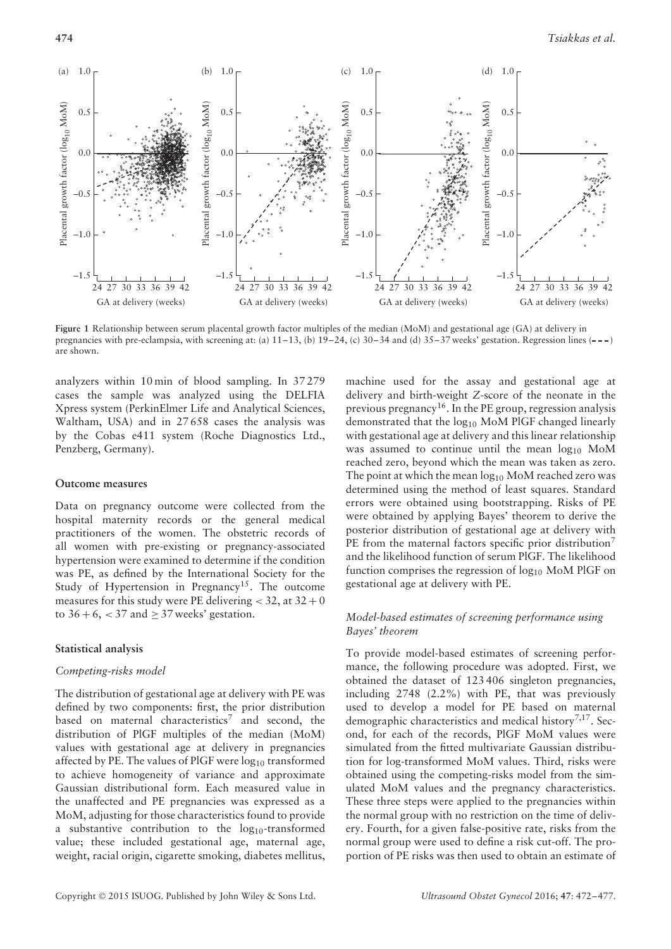

**Figure 1** Relationship between serum placental growth factor multiples of the median (MoM) and gestational age (GA) at delivery in pregnancies with pre-eclampsia, with screening at: (a)  $11-13$ , (b)  $19-24$ , (c)  $30-34$  and (d)  $35-37$  weeks' gestation. Regression lines  $(--)$ are shown.

analyzers within 10 min of blood sampling. In 37 279 cases the sample was analyzed using the DELFIA Xpress system (PerkinElmer Life and Analytical Sciences, Waltham, USA) and in 27 658 cases the analysis was by the Cobas e411 system (Roche Diagnostics Ltd., Penzberg, Germany).

#### **Outcome measures**

Data on pregnancy outcome were collected from the hospital maternity records or the general medical practitioners of the women. The obstetric records of all women with pre-existing or pregnancy-associated hypertension were examined to determine if the condition was PE, as defined by the International Society for the Study of Hypertension in Pregnancy<sup>15</sup>. The outcome measures for this study were PE delivering  $<$  32, at 32 + 0 to  $36 + 6$ ,  $< 37$  and  $\geq 37$  weeks' gestation.

## **Statistical analysis**

## *Competing-risks model*

The distribution of gestational age at delivery with PE was defined by two components: first, the prior distribution based on maternal characteristics<sup>7</sup> and second, the distribution of PlGF multiples of the median (MoM) values with gestational age at delivery in pregnancies affected by PE. The values of PlGF were  $log_{10}$  transformed to achieve homogeneity of variance and approximate Gaussian distributional form. Each measured value in the unaffected and PE pregnancies was expressed as a MoM, adjusting for those characteristics found to provide a substantive contribution to the  $log_{10}$ -transformed value; these included gestational age, maternal age, weight, racial origin, cigarette smoking, diabetes mellitus,

machine used for the assay and gestational age at delivery and birth-weight *Z*-score of the neonate in the previous pregnancy16. In the PE group, regression analysis demonstrated that the log<sub>10</sub> MoM PlGF changed linearly with gestational age at delivery and this linear relationship was assumed to continue until the mean  $log_{10}$  MoM reached zero, beyond which the mean was taken as zero. The point at which the mean  $log_{10}$  MoM reached zero was determined using the method of least squares. Standard errors were obtained using bootstrapping. Risks of PE were obtained by applying Bayes' theorem to derive the posterior distribution of gestational age at delivery with PE from the maternal factors specific prior distribution<sup>7</sup> and the likelihood function of serum PlGF. The likelihood function comprises the regression of  $log_{10}$  MoM PlGF on gestational age at delivery with PE.

## *Model-based estimates of screening performance using Bayes' theorem*

To provide model-based estimates of screening performance, the following procedure was adopted. First, we obtained the dataset of 123 406 singleton pregnancies, including 2748 (2.2%) with PE, that was previously used to develop a model for PE based on maternal demographic characteristics and medical history<sup>7,17</sup>. Second, for each of the records, PlGF MoM values were simulated from the fitted multivariate Gaussian distribution for log-transformed MoM values. Third, risks were obtained using the competing-risks model from the simulated MoM values and the pregnancy characteristics. These three steps were applied to the pregnancies within the normal group with no restriction on the time of delivery. Fourth, for a given false-positive rate, risks from the normal group were used to define a risk cut-off. The proportion of PE risks was then used to obtain an estimate of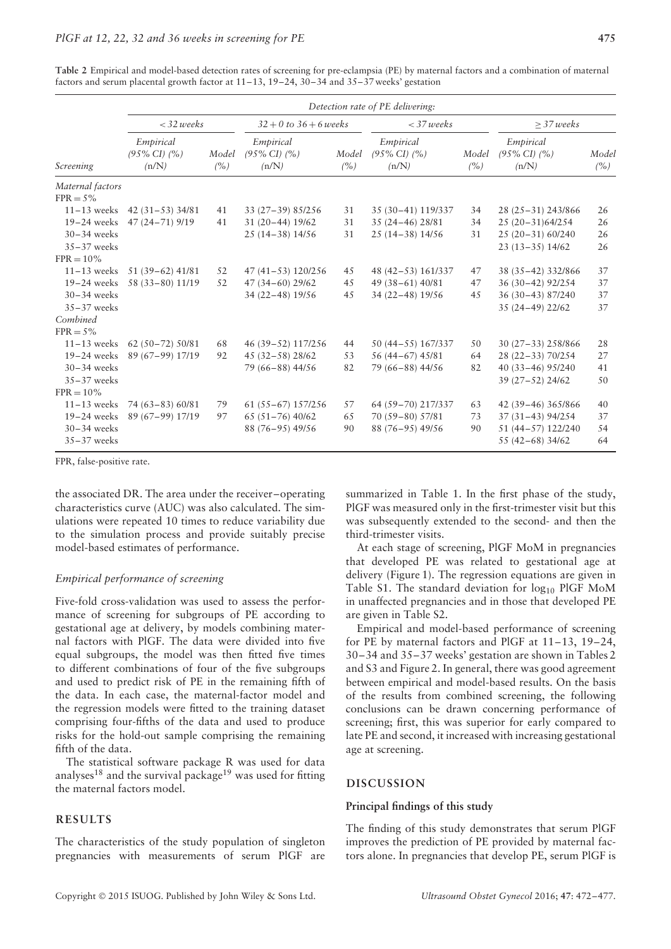**Table 2** Empirical and model-based detection rates of screening for pre-eclampsia (PE) by maternal factors and a combination of maternal factors and serum placental growth factor at 11–13, 19–24, 30–34 and 35–37 weeks' gestation

| Screening                        | Detection rate of PE delivering:               |                 |                                                |                 |                                                |                 |                                                |              |  |  |
|----------------------------------|------------------------------------------------|-----------------|------------------------------------------------|-----------------|------------------------------------------------|-----------------|------------------------------------------------|--------------|--|--|
|                                  | $<$ 32 weeks                                   |                 | $32 + 0$ to $36 + 6$ weeks                     |                 | $<$ 37 weeks                                   |                 | $>$ 37 weeks                                   |              |  |  |
|                                  | Empirical<br>$(95\% \text{ CI})$ $(%$<br>(n/N) | Model<br>$($ %) | Empirical<br>$(95\% \text{ CI})$ $(%$<br>(n/N) | Model<br>$($ %) | Empirical<br>$(95\% \text{ CI})$ $(%$<br>(n/N) | Model<br>$($ %) | Empirical<br>$(95\% \text{ CI})$ $(%$<br>(n/N) | Model<br>(%) |  |  |
| Maternal factors<br>$FPR = 5\%$  |                                                |                 |                                                |                 |                                                |                 |                                                |              |  |  |
| $11-13$ weeks                    | 42 $(31 - 53)$ 34/81                           | 41              | 33 (27-39) 85/256                              | 31              | 35 (30-41) 119/337                             | 34              | 28 (25 - 31) 243/866                           | 26           |  |  |
| $19-24$ weeks                    | $47(24 - 71)9/19$                              | 41              | 31 (20-44) 19/62                               | 31              | 35 (24-46) 28/81                               | 34              | 25 (20-31)64/254                               | 26           |  |  |
| $30-34$ weeks                    |                                                |                 | $25(14-38)14/56$                               | 31              | $25(14-38)14/56$                               | 31              | 25 (20-31) 60/240                              | 26           |  |  |
| $35 - 37$ weeks                  |                                                |                 |                                                |                 |                                                |                 | $23(13-35)14/62$                               | 26           |  |  |
| $FPR = 10\%$                     |                                                |                 |                                                |                 |                                                |                 |                                                |              |  |  |
| $11-13$ weeks                    | $51(39-62)$ 41/81                              | 52              | $47(41-53)120/256$                             | 45              | 48 (42-53) 161/337                             | 47              | 38 (35-42) 332/866                             | 37           |  |  |
| $19-24$ weeks                    | 58 (33-80) 11/19                               | 52              | 47 (34-60) 29/62                               | 45              | 49 (38-61) 40/81                               | 47              | 36 (30-42) 92/254                              | 37           |  |  |
| $30-34$ weeks                    |                                                |                 | 34 (22-48) 19/56                               | 45              | 34 (22-48) 19/56                               | 45              | 36 (30-43) 87/240                              | 37           |  |  |
| $35 - 37$ weeks                  |                                                |                 |                                                |                 |                                                |                 | 35 (24-49) 22/62                               | 37           |  |  |
| Combined                         |                                                |                 |                                                |                 |                                                |                 |                                                |              |  |  |
| $FPR = 5\%$                      |                                                |                 |                                                |                 |                                                |                 |                                                |              |  |  |
| $11-13$ weeks                    | $62(50-72)50/81$                               | 68              | 46 (39-52) 117/256                             | 44              | 50 (44-55) 167/337                             | 50              | 30 (27-33) 258/866                             | 28           |  |  |
| $19-24$ weeks                    | 89 (67-99) 17/19                               | 92              | $45(32 - 58)28/62$                             | 53              | 56 (44-67) 45/81                               | 64              | 28 (22-33) 70/254                              | 27           |  |  |
| $30-34$ weeks                    |                                                |                 | 79 (66-88) 44/56                               | 82              | 79 (66-88) 44/56                               | 82              | 40 (33-46) 95/240                              | 41           |  |  |
| $35 - 37$ weeks                  |                                                |                 |                                                |                 |                                                |                 | 39 (27-52) 24/62                               | 50           |  |  |
| $FPR = 10\%$                     |                                                |                 |                                                |                 |                                                |                 |                                                |              |  |  |
| $11-13$ weeks                    | 74 (63-83) 60/81                               | 79              | $61(55-67)157/256$                             | 57              | 64 (59-70) 217/337                             | 63              | 42 (39-46) 365/866                             | 40           |  |  |
| $19-24$ weeks                    | 89 (67-99) 17/19                               | 97              | $65(51 - 76)40/62$                             | 65              | 70 (59-80) 57/81                               | 73              | 37 (31-43) 94/254                              | 37           |  |  |
| $30-34$ weeks<br>$35 - 37$ weeks |                                                |                 | 88 (76-95) 49/56                               | 90              | 88 (76-95) 49/56                               | 90              | 51 (44-57) 122/240<br>55 (42-68) 34/62         | 54<br>64     |  |  |

FPR, false-positive rate.

the associated DR. The area under the receiver–operating characteristics curve (AUC) was also calculated. The simulations were repeated 10 times to reduce variability due to the simulation process and provide suitably precise model-based estimates of performance.

#### *Empirical performance of screening*

Five-fold cross-validation was used to assess the performance of screening for subgroups of PE according to gestational age at delivery, by models combining maternal factors with PlGF. The data were divided into five equal subgroups, the model was then fitted five times to different combinations of four of the five subgroups and used to predict risk of PE in the remaining fifth of the data. In each case, the maternal-factor model and the regression models were fitted to the training dataset comprising four-fifths of the data and used to produce risks for the hold-out sample comprising the remaining fifth of the data.

The statistical software package R was used for data analyses<sup>18</sup> and the survival package<sup>19</sup> was used for fitting the maternal factors model.

## **RESULTS**

The characteristics of the study population of singleton pregnancies with measurements of serum PlGF are summarized in Table 1. In the first phase of the study, PlGF was measured only in the first-trimester visit but this was subsequently extended to the second- and then the third-trimester visits.

At each stage of screening, PlGF MoM in pregnancies that developed PE was related to gestational age at delivery (Figure 1). The regression equations are given in Table S1. The standard deviation for  $log_{10}$  PlGF MoM in unaffected pregnancies and in those that developed PE are given in Table S2.

Empirical and model-based performance of screening for PE by maternal factors and PlGF at 11–13, 19–24, 30–34 and 35–37 weeks' gestation are shown in Tables 2 and S3 and Figure 2. In general, there was good agreement between empirical and model-based results. On the basis of the results from combined screening, the following conclusions can be drawn concerning performance of screening; first, this was superior for early compared to late PE and second, it increased with increasing gestational age at screening.

## **DISCUSSION**

## **Principal findings of this study**

The finding of this study demonstrates that serum PlGF improves the prediction of PE provided by maternal factors alone. In pregnancies that develop PE, serum PlGF is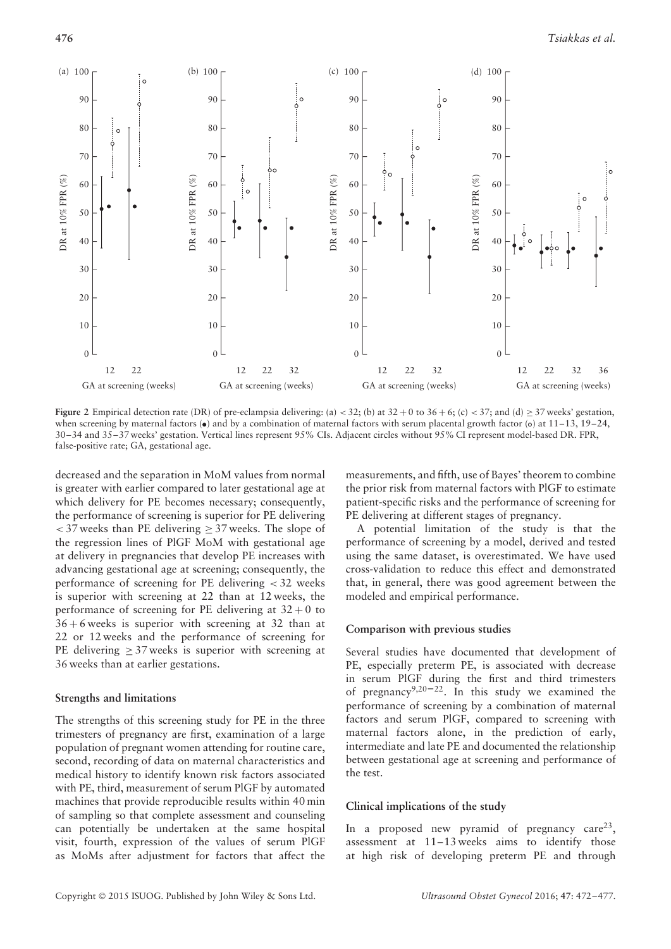

**Figure 2** Empirical detection rate (DR) of pre-eclampsia delivering: (a) < 32; (b) at 32 + 0 to 36 + 6; (c) < 37; and (d)  $\geq$  37 weeks' gestation, when screening by maternal factors  $\bullet$  and by a combination of maternal factors with serum placental growth factor (o) at 11–13, 19–24, 30–34 and 35–37 weeks' gestation. Vertical lines represent 95% CIs. Adjacent circles without 95% CI represent model-based DR. FPR, false-positive rate; GA, gestational age.

decreased and the separation in MoM values from normal is greater with earlier compared to later gestational age at which delivery for PE becomes necessary; consequently, the performance of screening is superior for PE delivering *<* 37 weeks than PE delivering ≥ 37 weeks. The slope of the regression lines of PlGF MoM with gestational age at delivery in pregnancies that develop PE increases with advancing gestational age at screening; consequently, the performance of screening for PE delivering *<* 32 weeks is superior with screening at 22 than at 12 weeks, the performance of screening for PE delivering at  $32 + 0$  to  $36 + 6$  weeks is superior with screening at 32 than at 22 or 12 weeks and the performance of screening for PE delivering  $\geq$  37 weeks is superior with screening at 36 weeks than at earlier gestations.

#### **Strengths and limitations**

The strengths of this screening study for PE in the three trimesters of pregnancy are first, examination of a large population of pregnant women attending for routine care, second, recording of data on maternal characteristics and medical history to identify known risk factors associated with PE, third, measurement of serum PlGF by automated machines that provide reproducible results within 40 min of sampling so that complete assessment and counseling can potentially be undertaken at the same hospital visit, fourth, expression of the values of serum PlGF as MoMs after adjustment for factors that affect the

measurements, and fifth, use of Bayes' theorem to combine the prior risk from maternal factors with PlGF to estimate patient-specific risks and the performance of screening for PE delivering at different stages of pregnancy.

A potential limitation of the study is that the performance of screening by a model, derived and tested using the same dataset, is overestimated. We have used cross-validation to reduce this effect and demonstrated that, in general, there was good agreement between the modeled and empirical performance.

#### **Comparison with previous studies**

Several studies have documented that development of PE, especially preterm PE, is associated with decrease in serum PlGF during the first and third trimesters of pregnancy<sup>9,20–22</sup>. In this study we examined the performance of screening by a combination of maternal factors and serum PlGF, compared to screening with maternal factors alone, in the prediction of early, intermediate and late PE and documented the relationship between gestational age at screening and performance of the test.

## **Clinical implications of the study**

In a proposed new pyramid of pregnancy care<sup>23</sup>, assessment at 11–13 weeks aims to identify those at high risk of developing preterm PE and through